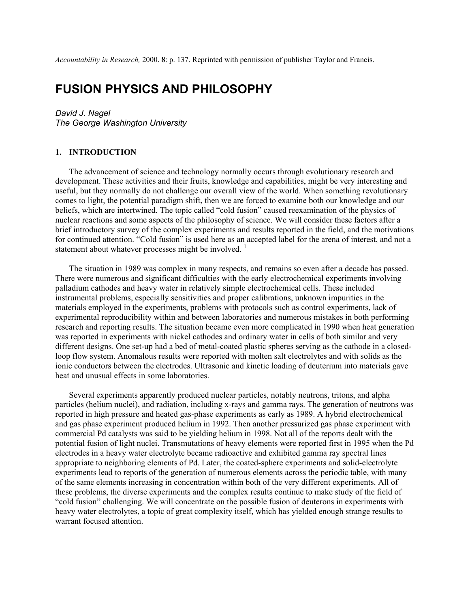*Accountability in Research,* 2000. **8**: p. 137. Reprinted with permission of publisher Taylor and Francis.

# **FUSION PHYSICS AND PHILOSOPHY**

*David J. Nagel The George Washington University* 

## **1. INTRODUCTION**

The advancement of science and technology normally occurs through evolutionary research and development. These activities and their fruits, knowledge and capabilities, might be very interesting and useful, but they normally do not challenge our overall view of the world. When something revolutionary comes to light, the potential paradigm shift, then we are forced to examine both our knowledge and our beliefs, which are intertwined. The topic called "cold fusion" caused reexamination of the physics of nuclear reactions and some aspects of the philosophy of science. We will consider these factors after a brief introductory survey of the complex experiments and results reported in the field, and the motivations for continued attention. "Cold fusion" is used here as an accepted label for the arena of interest, and not a statement about whatever processes might be involved.<sup>1</sup>

The situation in 1989 was complex in many respects, and remains so even after a decade has passed. There were numerous and significant difficulties with the early electrochemical experiments involving palladium cathodes and heavy water in relatively simple electrochemical cells. These included instrumental problems, especially sensitivities and proper calibrations, unknown impurities in the materials employed in the experiments, problems with protocols such as control experiments, lack of experimental reproducibility within and between laboratories and numerous mistakes in both performing research and reporting results. The situation became even more complicated in 1990 when heat generation was reported in experiments with nickel cathodes and ordinary water in cells of both similar and very different designs. One set-up had a bed of metal-coated plastic spheres serving as the cathode in a closedloop flow system. Anomalous results were reported with molten salt electrolytes and with solids as the ionic conductors between the electrodes. Ultrasonic and kinetic loading of deuterium into materials gave heat and unusual effects in some laboratories.

Several experiments apparently produced nuclear particles, notably neutrons, tritons, and alpha particles (helium nuclei), and radiation, including x-rays and gamma rays. The generation of neutrons was reported in high pressure and heated gas-phase experiments as early as 1989. A hybrid electrochemical and gas phase experiment produced helium in 1992. Then another pressurized gas phase experiment with commercial Pd catalysts was said to be yielding helium in 1998. Not all of the reports dealt with the potential fusion of light nuclei. Transmutations of heavy elements were reported first in 1995 when the Pd electrodes in a heavy water electrolyte became radioactive and exhibited gamma ray spectral lines appropriate to neighboring elements of Pd. Later, the coated-sphere experiments and solid-electrolyte experiments lead to reports of the generation of numerous elements across the periodic table, with many of the same elements increasing in concentration within both of the very different experiments. All of these problems, the diverse experiments and the complex results continue to make study of the field of "cold fusion" challenging. We will concentrate on the possible fusion of deuterons in experiments with heavy water electrolytes, a topic of great complexity itself, which has yielded enough strange results to warrant focused attention.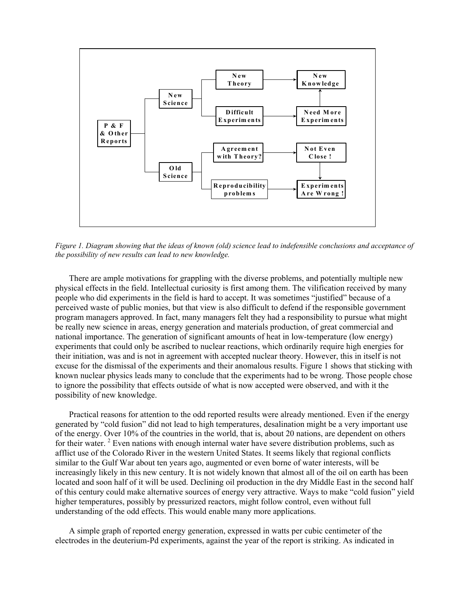

*Figure 1. Diagram showing that the ideas of known (old) science lead to indefensible conclusions and acceptance of the possibility of new results can lead to new knowledge.* 

There are ample motivations for grappling with the diverse problems, and potentially multiple new physical effects in the field. Intellectual curiosity is first among them. The vilification received by many people who did experiments in the field is hard to accept. It was sometimes "justified" because of a perceived waste of public monies, but that view is also difficult to defend if the responsible government program managers approved. In fact, many managers felt they had a responsibility to pursue what might be really new science in areas, energy generation and materials production, of great commercial and national importance. The generation of significant amounts of heat in low-temperature (low energy) experiments that could only be ascribed to nuclear reactions, which ordinarily require high energies for their initiation, was and is not in agreement with accepted nuclear theory. However, this in itself is not excuse for the dismissal of the experiments and their anomalous results. Figure 1 shows that sticking with known nuclear physics leads many to conclude that the experiments had to be wrong. Those people chose to ignore the possibility that effects outside of what is now accepted were observed, and with it the possibility of new knowledge.

Practical reasons for attention to the odd reported results were already mentioned. Even if the energy generated by "cold fusion" did not lead to high temperatures, desalination might be a very important use of the energy. Over 10% of the countries in the world, that is, about 20 nations, are dependent on others for their water.<sup>2</sup> Even nations with enough internal water have severe distribution problems, such as afflict use of the Colorado River in the western United States. It seems likely that regional conflicts similar to the Gulf War about ten years ago, augmented or even borne of water interests, will be increasingly likely in this new century. It is not widely known that almost all of the oil on earth has been located and soon half of it will be used. Declining oil production in the dry Middle East in the second half of this century could make alternative sources of energy very attractive. Ways to make "cold fusion" yield higher temperatures, possibly by pressurized reactors, might follow control, even without full understanding of the odd effects. This would enable many more applications.

A simple graph of reported energy generation, expressed in watts per cubic centimeter of the electrodes in the deuterium-Pd experiments, against the year of the report is striking. As indicated in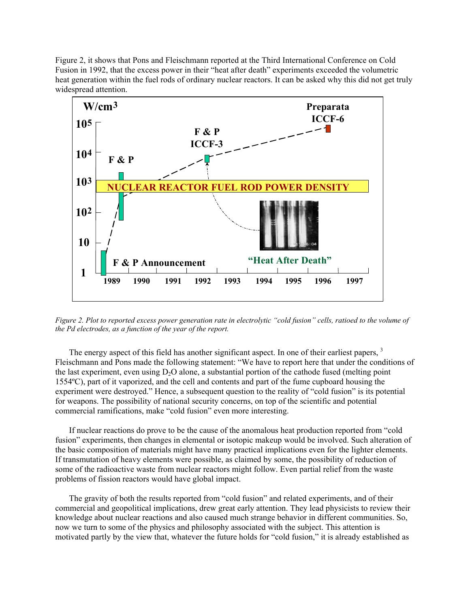Figure 2, it shows that Pons and Fleischmann reported at the Third International Conference on Cold Fusion in 1992, that the excess power in their "heat after death" experiments exceeded the volumetric heat generation within the fuel rods of ordinary nuclear reactors. It can be asked why this did not get truly widespread attention.



*Figure 2. Plot to reported excess power generation rate in electrolytic "cold fusion" cells, ratioed to the volume of the Pd electrodes, as a function of the year of the report.* 

The energy aspect of this field has another significant aspect. In one of their earliest papers,  $3$ Fleischmann and Pons made the following statement: "We have to report here that under the conditions of the last experiment, even using  $D<sub>2</sub>O$  alone, a substantial portion of the cathode fused (melting point 1554ºC), part of it vaporized, and the cell and contents and part of the fume cupboard housing the experiment were destroyed." Hence, a subsequent question to the reality of "cold fusion" is its potential for weapons. The possibility of national security concerns, on top of the scientific and potential commercial ramifications, make "cold fusion" even more interesting.

If nuclear reactions do prove to be the cause of the anomalous heat production reported from "cold fusion" experiments, then changes in elemental or isotopic makeup would be involved. Such alteration of the basic composition of materials might have many practical implications even for the lighter elements. If transmutation of heavy elements were possible, as claimed by some, the possibility of reduction of some of the radioactive waste from nuclear reactors might follow. Even partial relief from the waste problems of fission reactors would have global impact.

The gravity of both the results reported from "cold fusion" and related experiments, and of their commercial and geopolitical implications, drew great early attention. They lead physicists to review their knowledge about nuclear reactions and also caused much strange behavior in different communities. So, now we turn to some of the physics and philosophy associated with the subject. This attention is motivated partly by the view that, whatever the future holds for "cold fusion," it is already established as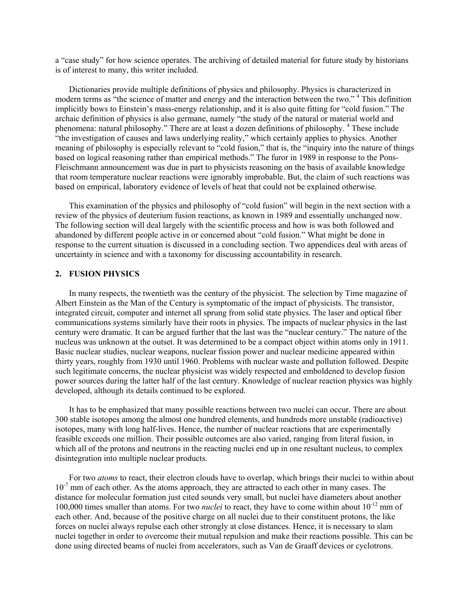a "case study" for how science operates. The archiving of detailed material for future study by historians is of interest to many, this writer included.

Dictionaries provide multiple definitions of physics and philosophy. Physics is characterized in modern terms as "the science of matter and energy and the interaction between the two." <sup>4</sup> This definition implicitly bows to Einstein's mass-energy relationship, and it is also quite fitting for "cold fusion." The archaic definition of physics is also germane, namely "the study of the natural or material world and phenomena: natural philosophy." There are at least a dozen definitions of philosophy. <sup>4</sup> These include "the investigation of causes and laws underlying reality," which certainly applies to physics. Another meaning of philosophy is especially relevant to "cold fusion," that is, the "inquiry into the nature of things based on logical reasoning rather than empirical methods." The furor in 1989 in response to the Pons-Fleischmann announcement was due in part to physicists reasoning on the basis of available knowledge that room temperature nuclear reactions were ignorably improbable. But, the claim of such reactions was based on empirical, laboratory evidence of levels of heat that could not be explained otherwise.

This examination of the physics and philosophy of "cold fusion" will begin in the next section with a review of the physics of deuterium fusion reactions, as known in 1989 and essentially unchanged now. The following section will deal largely with the scientific process and how is was both followed and abandoned by different people active in or concerned about "cold fusion." What might be done in response to the current situation is discussed in a concluding section. Two appendices deal with areas of uncertainty in science and with a taxonomy for discussing accountability in research.

## **2. FUSION PHYSICS**

In many respects, the twentieth was the century of the physicist. The selection by Time magazine of Albert Einstein as the Man of the Century is symptomatic of the impact of physicists. The transistor, integrated circuit, computer and internet all sprung from solid state physics. The laser and optical fiber communications systems similarly have their roots in physics. The impacts of nuclear physics in the last century were dramatic. It can be argued further that the last was the "nuclear century." The nature of the nucleus was unknown at the outset. It was determined to be a compact object within atoms only in 1911. Basic nuclear studies, nuclear weapons, nuclear fission power and nuclear medicine appeared within thirty years, roughly from 1930 until 1960. Problems with nuclear waste and pollution followed. Despite such legitimate concerns, the nuclear physicist was widely respected and emboldened to develop fusion power sources during the latter half of the last century. Knowledge of nuclear reaction physics was highly developed, although its details continued to be explored.

It has to be emphasized that many possible reactions between two nuclei can occur. There are about 300 stable isotopes among the almost one hundred elements, and hundreds more unstable (radioactive) isotopes, many with long half-lives. Hence, the number of nuclear reactions that are experimentally feasible exceeds one million. Their possible outcomes are also varied, ranging from literal fusion, in which all of the protons and neutrons in the reacting nuclei end up in one resultant nucleus, to complex disintegration into multiple nuclear products.

For two *atoms* to react, their electron clouds have to overlap, which brings their nuclei to within about  $10^{-7}$  mm of each other. As the atoms approach, they are attracted to each other in many cases. The distance for molecular formation just cited sounds very small, but nuclei have diameters about another 100,000 times smaller than atoms. For two *nuclei* to react, they have to come within about 10-12 mm of each other. And, because of the positive charge on all nuclei due to their constituent protons, the like forces on nuclei always repulse each other strongly at close distances. Hence, it is necessary to slam nuclei together in order to overcome their mutual repulsion and make their reactions possible. This can be done using directed beams of nuclei from accelerators, such as Van de Graaff devices or cyclotrons.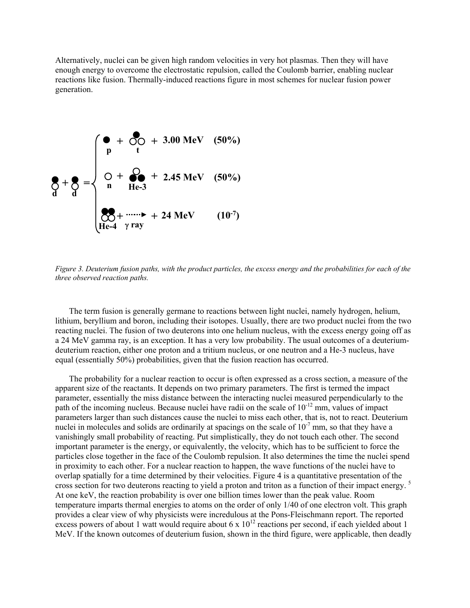Alternatively, nuclei can be given high random velocities in very hot plasmas. Then they will have enough energy to overcome the electrostatic repulsion, called the Coulomb barrier, enabling nuclear reactions like fusion. Thermally-induced reactions figure in most schemes for nuclear fusion power generation.

$$
\mathbf{S} + \mathbf{S} = \begin{cases} \mathbf{0} + \mathbf{0} - \mathbf{1} & (50\%) \\ \mathbf{0} + \mathbf{0} & (50\%) \\ \mathbf{0} + \mathbf{0} & \mathbf{0} \\ \mathbf{0} + \mathbf{0} & (50\%) \end{cases}
$$
  
30 MeV (50%)  
He-3  
MeV (50%)  
He-4  $\gamma$  ray (10<sup>-7</sup>)

*Figure 3. Deuterium fusion paths, with the product particles, the excess energy and the probabilities for each of the three observed reaction paths.*

The term fusion is generally germane to reactions between light nuclei, namely hydrogen, helium, lithium, beryllium and boron, including their isotopes. Usually, there are two product nuclei from the two reacting nuclei. The fusion of two deuterons into one helium nucleus, with the excess energy going off as a 24 MeV gamma ray, is an exception. It has a very low probability. The usual outcomes of a deuteriumdeuterium reaction, either one proton and a tritium nucleus, or one neutron and a He-3 nucleus, have equal (essentially 50%) probabilities, given that the fusion reaction has occurred.

The probability for a nuclear reaction to occur is often expressed as a cross section, a measure of the apparent size of the reactants. It depends on two primary parameters. The first is termed the impact parameter, essentially the miss distance between the interacting nuclei measured perpendicularly to the path of the incoming nucleus. Because nuclei have radii on the scale of  $10^{-12}$  mm, values of impact parameters larger than such distances cause the nuclei to miss each other, that is, not to react. Deuterium nuclei in molecules and solids are ordinarily at spacings on the scale of  $10^{-7}$  mm, so that they have a vanishingly small probability of reacting. Put simplistically, they do not touch each other. The second important parameter is the energy, or equivalently, the velocity, which has to be sufficient to force the particles close together in the face of the Coulomb repulsion. It also determines the time the nuclei spend in proximity to each other. For a nuclear reaction to happen, the wave functions of the nuclei have to overlap spatially for a time determined by their velocities. Figure 4 is a quantitative presentation of the cross section for two deuterons reacting to yield a proton and triton as a function of their impact energy. 5 At one keV, the reaction probability is over one billion times lower than the peak value. Room temperature imparts thermal energies to atoms on the order of only 1/40 of one electron volt. This graph provides a clear view of why physicists were incredulous at the Pons-Fleischmann report. The reported excess powers of about 1 watt would require about 6 x  $10^{12}$  reactions per second, if each yielded about 1 MeV. If the known outcomes of deuterium fusion, shown in the third figure, were applicable, then deadly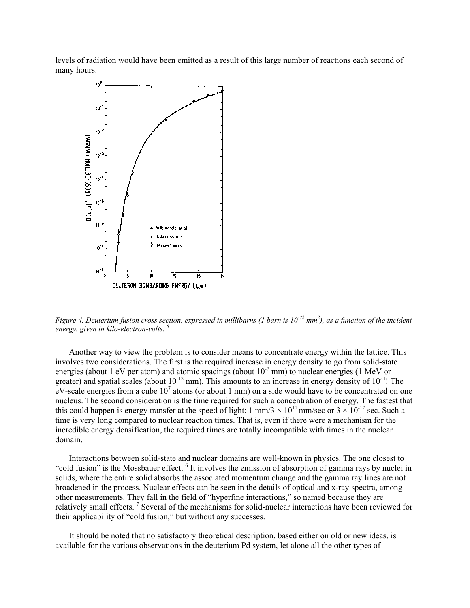levels of radiation would have been emitted as a result of this large number of reactions each second of many hours.



*Figure 4. Deuterium fusion cross section, expressed in millibarns (1 barn is 10-22 mm2 ), as a function of the incident energy, given in kilo-electron-volts. 5*

Another way to view the problem is to consider means to concentrate energy within the lattice. This involves two considerations. The first is the required increase in energy density to go from solid-state energies (about 1 eV per atom) and atomic spacings (about  $10^{-7}$  mm) to nuclear energies (1 MeV or greater) and spatial scales (about  $10^{-12}$  mm). This amounts to an increase in energy density of  $10^{21}$ ! The  $eV$ -scale energies from a cube  $10^7$  atoms (or about 1 mm) on a side would have to be concentrated on one nucleus. The second consideration is the time required for such a concentration of energy. The fastest that this could happen is energy transfer at the speed of light: 1 mm/3  $\times$  10<sup>11</sup> mm/sec or 3  $\times$  10<sup>-12</sup> sec. Such a time is very long compared to nuclear reaction times. That is, even if there were a mechanism for the incredible energy densification, the required times are totally incompatible with times in the nuclear domain.

Interactions between solid-state and nuclear domains are well-known in physics. The one closest to "cold fusion" is the Mossbauer effect.  $6$  It involves the emission of absorption of gamma rays by nuclei in solids, where the entire solid absorbs the associated momentum change and the gamma ray lines are not broadened in the process. Nuclear effects can be seen in the details of optical and x-ray spectra, among other measurements. They fall in the field of "hyperfine interactions," so named because they are relatively small effects.<sup>7</sup> Several of the mechanisms for solid-nuclear interactions have been reviewed for their applicability of "cold fusion," but without any successes.

It should be noted that no satisfactory theoretical description, based either on old or new ideas, is available for the various observations in the deuterium Pd system, let alone all the other types of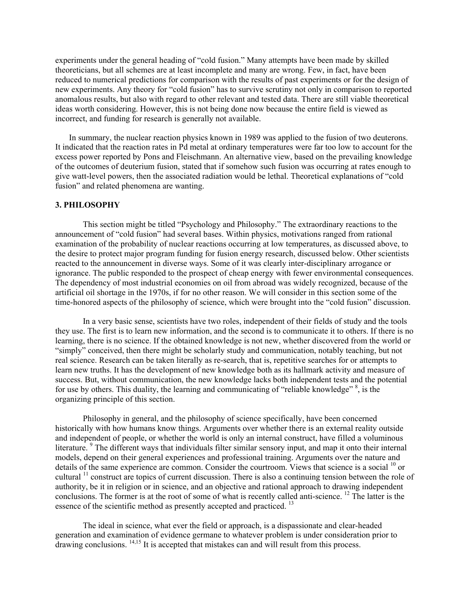experiments under the general heading of "cold fusion." Many attempts have been made by skilled theoreticians, but all schemes are at least incomplete and many are wrong. Few, in fact, have been reduced to numerical predictions for comparison with the results of past experiments or for the design of new experiments. Any theory for "cold fusion" has to survive scrutiny not only in comparison to reported anomalous results, but also with regard to other relevant and tested data. There are still viable theoretical ideas worth considering. However, this is not being done now because the entire field is viewed as incorrect, and funding for research is generally not available.

In summary, the nuclear reaction physics known in 1989 was applied to the fusion of two deuterons. It indicated that the reaction rates in Pd metal at ordinary temperatures were far too low to account for the excess power reported by Pons and Fleischmann. An alternative view, based on the prevailing knowledge of the outcomes of deuterium fusion, stated that if somehow such fusion was occurring at rates enough to give watt-level powers, then the associated radiation would be lethal. Theoretical explanations of "cold" fusion" and related phenomena are wanting.

## **3. PHILOSOPHY**

This section might be titled "Psychology and Philosophy." The extraordinary reactions to the announcement of "cold fusion" had several bases. Within physics, motivations ranged from rational examination of the probability of nuclear reactions occurring at low temperatures, as discussed above, to the desire to protect major program funding for fusion energy research, discussed below. Other scientists reacted to the announcement in diverse ways. Some of it was clearly inter-disciplinary arrogance or ignorance. The public responded to the prospect of cheap energy with fewer environmental consequences. The dependency of most industrial economies on oil from abroad was widely recognized, because of the artificial oil shortage in the 1970s, if for no other reason. We will consider in this section some of the time-honored aspects of the philosophy of science, which were brought into the "cold fusion" discussion.

In a very basic sense, scientists have two roles, independent of their fields of study and the tools they use. The first is to learn new information, and the second is to communicate it to others. If there is no learning, there is no science. If the obtained knowledge is not new, whether discovered from the world or ìsimplyî conceived, then there might be scholarly study and communication, notably teaching, but not real science. Research can be taken literally as re-search, that is, repetitive searches for or attempts to learn new truths. It has the development of new knowledge both as its hallmark activity and measure of success. But, without communication, the new knowledge lacks both independent tests and the potential for use by others. This duality, the learning and communicating of "reliable knowledge"  $\frac{8}{3}$ , is the organizing principle of this section.

Philosophy in general, and the philosophy of science specifically, have been concerned historically with how humans know things. Arguments over whether there is an external reality outside and independent of people, or whether the world is only an internal construct, have filled a voluminous literature. <sup>9</sup> The different ways that individuals filter similar sensory input, and map it onto their internal models, depend on their general experiences and professional training. Arguments over the nature and details of the same experience are common. Consider the courtroom. Views that science is a social <sup>10</sup> or cultural 11 construct are topics of current discussion. There is also a continuing tension between the role of authority, be it in religion or in science, and an objective and rational approach to drawing independent conclusions. The former is at the root of some of what is recently called anti-science. 12 The latter is the essence of the scientific method as presently accepted and practiced.<sup>13</sup>

The ideal in science, what ever the field or approach, is a dispassionate and clear-headed generation and examination of evidence germane to whatever problem is under consideration prior to drawing conclusions. 14,15 It is accepted that mistakes can and will result from this process.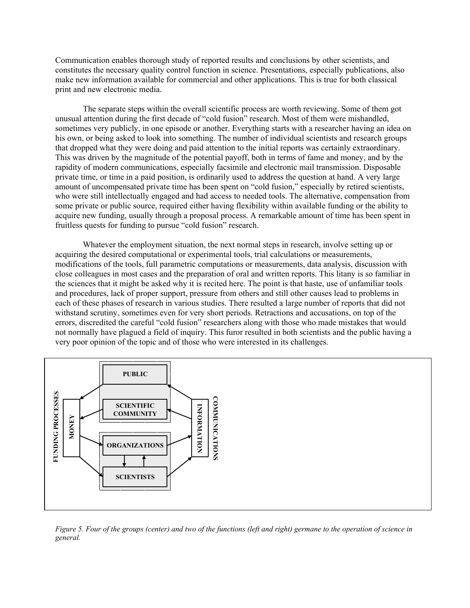Communication enables thorough study of reported results and conclusions by other scientists, and constitutes the necessary quality control function in science. Presentations, especially publications, also make new information available for commercial and other applications. This is true for both classical print and new electronic media.

The separate steps within the overall scientific process are worth reviewing. Some of them got unusual attention during the first decade of "cold fusion" research. Most of them were mishandled, sometimes very publicly, in one episode or another. Everything starts with a researcher having an idea on his own, or being asked to look into something. The number of individual scientists and research groups that dropped what they were doing and paid attention to the initial reports was certainly extraordinary. This was driven by the magnitude of the potential payoff, both in terms of fame and money, and by the rapidity of modern communications, especially facsimile and electronic mail transmission. Disposable private time, or time in a paid position, is ordinarily used to address the question at hand. A very large amount of uncompensated private time has been spent on "cold fusion," especially by retired scientists, who were still intellectually engaged and had access to needed tools. The alternative, compensation from some private or public source, required either having flexibility within available funding or the ability to acquire new funding, usually through a proposal process. A remarkable amount of time has been spent in fruitless quests for funding to pursue "cold fusion" research.

Whatever the employment situation, the next normal steps in research, involve setting up or acquiring the desired computational or experimental tools, trial calculations or measurements, modifications of the tools, full parametric computations or measurements, data analysis, discussion with close colleagues in most cases and the preparation of oral and written reports. This litany is so familiar in the sciences that it might be asked why it is recited here. The point is that haste, use of unfamiliar tools and procedures, lack of proper support, pressure from others and still other causes lead to problems in each of these phases of research in various studies. There resulted a large number of reports that did not withstand scrutiny, sometimes even for very short periods. Retractions and accusations, on top of the errors, discredited the careful "cold fusion" researchers along with those who made mistakes that would not normally have plagued a field of inquiry. This furor resulted in both scientists and the public having a very poor opinion of the topic and of those who were interested in its challenges.



*Figure 5. Four of the groups (center) and two of the functions (left and right) germane to the operation of science in general.*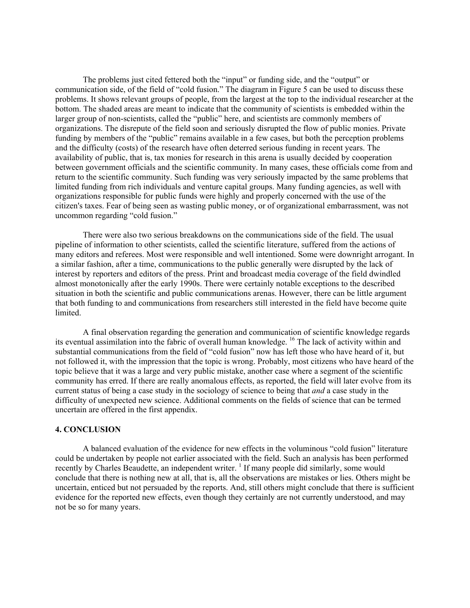The problems just cited fettered both the "input" or funding side, and the "output" or communication side, of the field of "cold fusion." The diagram in Figure 5 can be used to discuss these problems. It shows relevant groups of people, from the largest at the top to the individual researcher at the bottom. The shaded areas are meant to indicate that the community of scientists is embedded within the larger group of non-scientists, called the "public" here, and scientists are commonly members of organizations. The disrepute of the field soon and seriously disrupted the flow of public monies. Private funding by members of the "public" remains available in a few cases, but both the perception problems and the difficulty (costs) of the research have often deterred serious funding in recent years. The availability of public, that is, tax monies for research in this arena is usually decided by cooperation between government officials and the scientific community. In many cases, these officials come from and return to the scientific community. Such funding was very seriously impacted by the same problems that limited funding from rich individuals and venture capital groups. Many funding agencies, as well with organizations responsible for public funds were highly and properly concerned with the use of the citizen's taxes. Fear of being seen as wasting public money, or of organizational embarrassment, was not uncommon regarding "cold fusion."

There were also two serious breakdowns on the communications side of the field. The usual pipeline of information to other scientists, called the scientific literature, suffered from the actions of many editors and referees. Most were responsible and well intentioned. Some were downright arrogant. In a similar fashion, after a time, communications to the public generally were disrupted by the lack of interest by reporters and editors of the press. Print and broadcast media coverage of the field dwindled almost monotonically after the early 1990s. There were certainly notable exceptions to the described situation in both the scientific and public communications arenas. However, there can be little argument that both funding to and communications from researchers still interested in the field have become quite limited.

A final observation regarding the generation and communication of scientific knowledge regards its eventual assimilation into the fabric of overall human knowledge. 16 The lack of activity within and substantial communications from the field of "cold fusion" now has left those who have heard of it, but not followed it, with the impression that the topic is wrong. Probably, most citizens who have heard of the topic believe that it was a large and very public mistake, another case where a segment of the scientific community has erred. If there are really anomalous effects, as reported, the field will later evolve from its current status of being a case study in the sociology of science to being that *and* a case study in the difficulty of unexpected new science. Additional comments on the fields of science that can be termed uncertain are offered in the first appendix.

#### **4. CONCLUSION**

A balanced evaluation of the evidence for new effects in the voluminous "cold fusion" literature could be undertaken by people not earlier associated with the field. Such an analysis has been performed recently by Charles Beaudette, an independent writer. <sup>1</sup> If many people did similarly, some would conclude that there is nothing new at all, that is, all the observations are mistakes or lies. Others might be uncertain, enticed but not persuaded by the reports. And, still others might conclude that there is sufficient evidence for the reported new effects, even though they certainly are not currently understood, and may not be so for many years.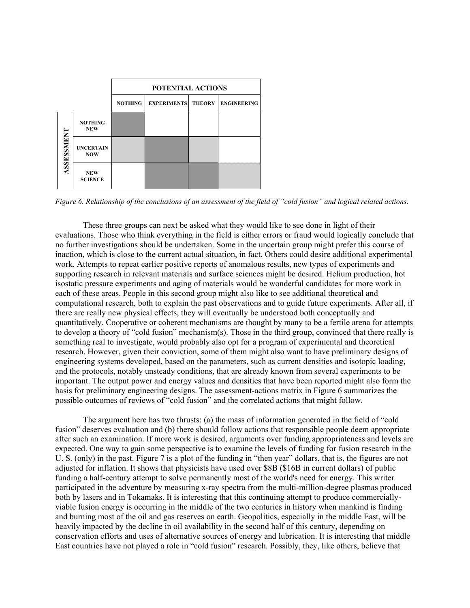|                   |                                | POTENTIAL ACTIONS |                    |               |                    |  |  |  |
|-------------------|--------------------------------|-------------------|--------------------|---------------|--------------------|--|--|--|
|                   |                                | <b>NOTHING</b>    | <b>EXPERIMENTS</b> | <b>THEORY</b> | <b>ENGINEERING</b> |  |  |  |
| <b>ASSESSMENT</b> | <b>NOTHING</b><br><b>NEW</b>   |                   |                    |               |                    |  |  |  |
|                   | <b>UNCERTAIN</b><br><b>NOW</b> |                   |                    |               |                    |  |  |  |
|                   | <b>NEW</b><br><b>SCIENCE</b>   |                   |                    |               |                    |  |  |  |

*Figure 6. Relationship of the conclusions of an assessment of the field of "cold fusion" and logical related actions.* 

These three groups can next be asked what they would like to see done in light of their evaluations. Those who think everything in the field is either errors or fraud would logically conclude that no further investigations should be undertaken. Some in the uncertain group might prefer this course of inaction, which is close to the current actual situation, in fact. Others could desire additional experimental work. Attempts to repeat earlier positive reports of anomalous results, new types of experiments and supporting research in relevant materials and surface sciences might be desired. Helium production, hot isostatic pressure experiments and aging of materials would be wonderful candidates for more work in each of these areas. People in this second group might also like to see additional theoretical and computational research, both to explain the past observations and to guide future experiments. After all, if there are really new physical effects, they will eventually be understood both conceptually and quantitatively. Cooperative or coherent mechanisms are thought by many to be a fertile arena for attempts to develop a theory of "cold fusion" mechanism(s). Those in the third group, convinced that there really is something real to investigate, would probably also opt for a program of experimental and theoretical research. However, given their conviction, some of them might also want to have preliminary designs of engineering systems developed, based on the parameters, such as current densities and isotopic loading, and the protocols, notably unsteady conditions, that are already known from several experiments to be important. The output power and energy values and densities that have been reported might also form the basis for preliminary engineering designs. The assessment-actions matrix in Figure 6 summarizes the possible outcomes of reviews of "cold fusion" and the correlated actions that might follow.

The argument here has two thrusts: (a) the mass of information generated in the field of "cold" fusion" deserves evaluation and (b) there should follow actions that responsible people deem appropriate after such an examination. If more work is desired, arguments over funding appropriateness and levels are expected. One way to gain some perspective is to examine the levels of funding for fusion research in the U. S. (only) in the past. Figure 7 is a plot of the funding in "then year" dollars, that is, the figures are not adjusted for inflation. It shows that physicists have used over \$8B (\$16B in current dollars) of public funding a half-century attempt to solve permanently most of the world's need for energy. This writer participated in the adventure by measuring x-ray spectra from the multi-million-degree plasmas produced both by lasers and in Tokamaks. It is interesting that this continuing attempt to produce commerciallyviable fusion energy is occurring in the middle of the two centuries in history when mankind is finding and burning most of the oil and gas reserves on earth. Geopolitics, especially in the middle East, will be heavily impacted by the decline in oil availability in the second half of this century, depending on conservation efforts and uses of alternative sources of energy and lubrication. It is interesting that middle East countries have not played a role in "cold fusion" research. Possibly, they, like others, believe that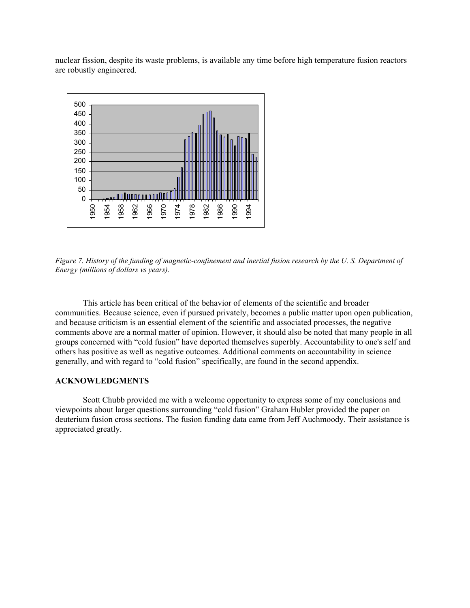nuclear fission, despite its waste problems, is available any time before high temperature fusion reactors are robustly engineered.



*Figure 7. History of the funding of magnetic-confinement and inertial fusion research by the U. S. Department of Energy (millions of dollars vs years).* 

This article has been critical of the behavior of elements of the scientific and broader communities. Because science, even if pursued privately, becomes a public matter upon open publication, and because criticism is an essential element of the scientific and associated processes, the negative comments above are a normal matter of opinion. However, it should also be noted that many people in all groups concerned with "cold fusion" have deported themselves superbly. Accountability to one's self and others has positive as well as negative outcomes. Additional comments on accountability in science generally, and with regard to "cold fusion" specifically, are found in the second appendix.

## **ACKNOWLEDGMENTS**

Scott Chubb provided me with a welcome opportunity to express some of my conclusions and viewpoints about larger questions surrounding "cold fusion" Graham Hubler provided the paper on deuterium fusion cross sections. The fusion funding data came from Jeff Auchmoody. Their assistance is appreciated greatly.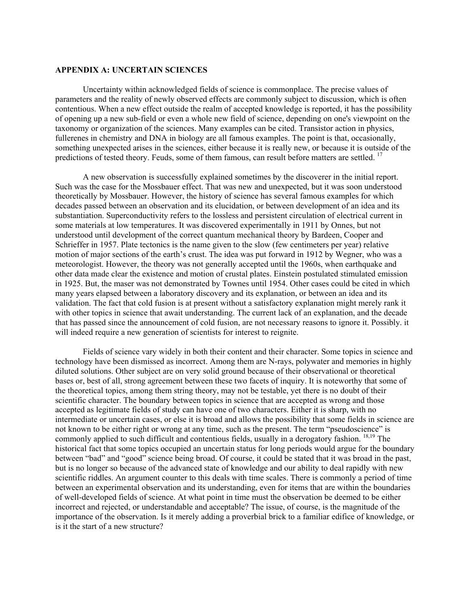#### **APPENDIX A: UNCERTAIN SCIENCES**

Uncertainty within acknowledged fields of science is commonplace. The precise values of parameters and the reality of newly observed effects are commonly subject to discussion, which is often contentious. When a new effect outside the realm of accepted knowledge is reported, it has the possibility of opening up a new sub-field or even a whole new field of science, depending on one's viewpoint on the taxonomy or organization of the sciences. Many examples can be cited. Transistor action in physics, fullerenes in chemistry and DNA in biology are all famous examples. The point is that, occasionally, something unexpected arises in the sciences, either because it is really new, or because it is outside of the predictions of tested theory. Feuds, some of them famous, can result before matters are settled. 17

A new observation is successfully explained sometimes by the discoverer in the initial report. Such was the case for the Mossbauer effect. That was new and unexpected, but it was soon understood theoretically by Mossbauer. However, the history of science has several famous examples for which decades passed between an observation and its elucidation, or between development of an idea and its substantiation. Superconductivity refers to the lossless and persistent circulation of electrical current in some materials at low temperatures. It was discovered experimentally in 1911 by Onnes, but not understood until development of the correct quantum mechanical theory by Bardeen, Cooper and Schrieffer in 1957. Plate tectonics is the name given to the slow (few centimeters per year) relative motion of major sections of the earth's crust. The idea was put forward in 1912 by Wegner, who was a meteorologist. However, the theory was not generally accepted until the 1960s, when earthquake and other data made clear the existence and motion of crustal plates. Einstein postulated stimulated emission in 1925. But, the maser was not demonstrated by Townes until 1954. Other cases could be cited in which many years elapsed between a laboratory discovery and its explanation, or between an idea and its validation. The fact that cold fusion is at present without a satisfactory explanation might merely rank it with other topics in science that await understanding. The current lack of an explanation, and the decade that has passed since the announcement of cold fusion, are not necessary reasons to ignore it. Possibly. it will indeed require a new generation of scientists for interest to reignite.

Fields of science vary widely in both their content and their character. Some topics in science and technology have been dismissed as incorrect. Among them are N-rays, polywater and memories in highly diluted solutions. Other subject are on very solid ground because of their observational or theoretical bases or, best of all, strong agreement between these two facets of inquiry. It is noteworthy that some of the theoretical topics, among them string theory, may not be testable, yet there is no doubt of their scientific character. The boundary between topics in science that are accepted as wrong and those accepted as legitimate fields of study can have one of two characters. Either it is sharp, with no intermediate or uncertain cases, or else it is broad and allows the possibility that some fields in science are not known to be either right or wrong at any time, such as the present. The term "pseudoscience" is commonly applied to such difficult and contentious fields, usually in a derogatory fashion. <sup>18,19</sup> The historical fact that some topics occupied an uncertain status for long periods would argue for the boundary between "bad" and "good" science being broad. Of course, it could be stated that it was broad in the past, but is no longer so because of the advanced state of knowledge and our ability to deal rapidly with new scientific riddles. An argument counter to this deals with time scales. There is commonly a period of time between an experimental observation and its understanding, even for items that are within the boundaries of well-developed fields of science. At what point in time must the observation be deemed to be either incorrect and rejected, or understandable and acceptable? The issue, of course, is the magnitude of the importance of the observation. Is it merely adding a proverbial brick to a familiar edifice of knowledge, or is it the start of a new structure?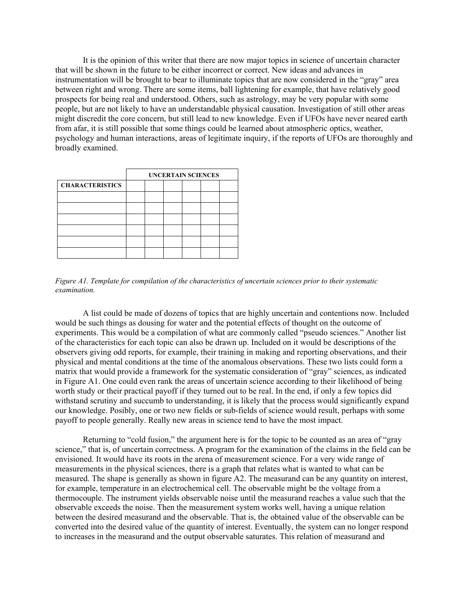It is the opinion of this writer that there are now major topics in science of uncertain character that will be shown in the future to be either incorrect or correct. New ideas and advances in instrumentation will be brought to bear to illuminate topics that are now considered in the "gray" area between right and wrong. There are some items, ball lightening for example, that have relatively good prospects for being real and understood. Others, such as astrology, may be very popular with some people, but are not likely to have an understandable physical causation. Investigation of still other areas might discredit the core concern, but still lead to new knowledge. Even if UFOs have never neared earth from afar, it is still possible that some things could be learned about atmospheric optics, weather, psychology and human interactions, areas of legitimate inquiry, if the reports of UFOs are thoroughly and broadly examined.

|                        | <b>UNCERTAIN SCIENCES</b> |  |  |  |  |  |
|------------------------|---------------------------|--|--|--|--|--|
| <b>CHARACTERISTICS</b> |                           |  |  |  |  |  |
|                        |                           |  |  |  |  |  |
|                        |                           |  |  |  |  |  |
|                        |                           |  |  |  |  |  |
|                        |                           |  |  |  |  |  |
|                        |                           |  |  |  |  |  |
|                        |                           |  |  |  |  |  |

*Figure A1. Template for compilation of the characteristics of uncertain sciences prior to their systematic examination.* 

A list could be made of dozens of topics that are highly uncertain and contentions now. Included would be such things as dousing for water and the potential effects of thought on the outcome of experiments. This would be a compilation of what are commonly called "pseudo sciences." Another list of the characteristics for each topic can also be drawn up. Included on it would be descriptions of the observers giving odd reports, for example, their training in making and reporting observations, and their physical and mental conditions at the time of the anomalous observations. These two lists could form a matrix that would provide a framework for the systematic consideration of "gray" sciences, as indicated in Figure A1. One could even rank the areas of uncertain science according to their likelihood of being worth study or their practical payoff if they turned out to be real. In the end, if only a few topics did withstand scrutiny and succumb to understanding, it is likely that the process would significantly expand our knowledge. Posibly, one or two new fields or sub-fields of science would result, perhaps with some payoff to people generally. Really new areas in science tend to have the most impact.

Returning to "cold fusion," the argument here is for the topic to be counted as an area of "gray science," that is, of uncertain correctness. A program for the examination of the claims in the field can be envisioned. It would have its roots in the arena of measurement science. For a very wide range of measurements in the physical sciences, there is a graph that relates what is wanted to what can be measured. The shape is generally as shown in figure A2. The measurand can be any quantity on interest, for example, temperature in an electrochemical cell. The observable might be the voltage from a thermocouple. The instrument yields observable noise until the measurand reaches a value such that the observable exceeds the noise. Then the measurement system works well, having a unique relation between the desired measurand and the observable. That is, the obtained value of the observable can be converted into the desired value of the quantity of interest. Eventually, the system can no longer respond to increases in the measurand and the output observable saturates. This relation of measurand and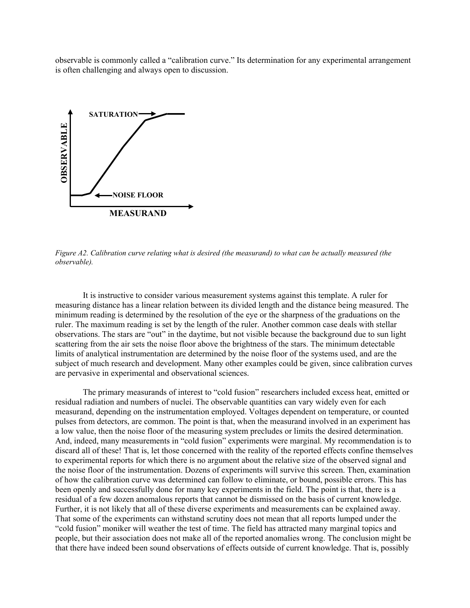observable is commonly called a "calibration curve." Its determination for any experimental arrangement is often challenging and always open to discussion.



*Figure A2. Calibration curve relating what is desired (the measurand) to what can be actually measured (the observable).* 

It is instructive to consider various measurement systems against this template. A ruler for measuring distance has a linear relation between its divided length and the distance being measured. The minimum reading is determined by the resolution of the eye or the sharpness of the graduations on the ruler. The maximum reading is set by the length of the ruler. Another common case deals with stellar observations. The stars are "out" in the daytime, but not visible because the background due to sun light scattering from the air sets the noise floor above the brightness of the stars. The minimum detectable limits of analytical instrumentation are determined by the noise floor of the systems used, and are the subject of much research and development. Many other examples could be given, since calibration curves are pervasive in experimental and observational sciences.

The primary measurands of interest to "cold fusion" researchers included excess heat, emitted or residual radiation and numbers of nuclei. The observable quantities can vary widely even for each measurand, depending on the instrumentation employed. Voltages dependent on temperature, or counted pulses from detectors, are common. The point is that, when the measurand involved in an experiment has a low value, then the noise floor of the measuring system precludes or limits the desired determination. And, indeed, many measurements in "cold fusion" experiments were marginal. My recommendation is to discard all of these! That is, let those concerned with the reality of the reported effects confine themselves to experimental reports for which there is no argument about the relative size of the observed signal and the noise floor of the instrumentation. Dozens of experiments will survive this screen. Then, examination of how the calibration curve was determined can follow to eliminate, or bound, possible errors. This has been openly and successfully done for many key experiments in the field. The point is that, there is a residual of a few dozen anomalous reports that cannot be dismissed on the basis of current knowledge. Further, it is not likely that all of these diverse experiments and measurements can be explained away. That some of the experiments can withstand scrutiny does not mean that all reports lumped under the "cold fusion" moniker will weather the test of time. The field has attracted many marginal topics and people, but their association does not make all of the reported anomalies wrong. The conclusion might be that there have indeed been sound observations of effects outside of current knowledge. That is, possibly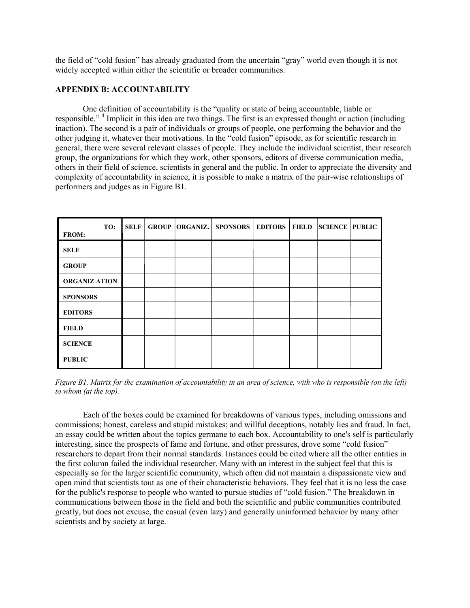the field of "cold fusion" has already graduated from the uncertain "gray" world even though it is not widely accepted within either the scientific or broader communities.

# **APPENDIX B: ACCOUNTABILITY**

One definition of accountability is the "quality or state of being accountable, liable or responsible."<sup>4</sup> Implicit in this idea are two things. The first is an expressed thought or action (including inaction). The second is a pair of individuals or groups of people, one performing the behavior and the other judging it, whatever their motivations. In the "cold fusion" episode, as for scientific research in general, there were several relevant classes of people. They include the individual scientist, their research group, the organizations for which they work, other sponsors, editors of diverse communication media, others in their field of science, scientists in general and the public. In order to appreciate the diversity and complexity of accountability in science, it is possible to make a matrix of the pair-wise relationships of performers and judges as in Figure B1.

| TO:<br>FROM:         | <b>SELF</b> | <b>GROUP ORGANIZ.</b> | <b>SPONSORS   EDITORS   FIELD</b> |  | <b>SCIENCE PUBLIC</b> |  |
|----------------------|-------------|-----------------------|-----------------------------------|--|-----------------------|--|
| <b>SELF</b>          |             |                       |                                   |  |                       |  |
| <b>GROUP</b>         |             |                       |                                   |  |                       |  |
| <b>ORGANIZ ATION</b> |             |                       |                                   |  |                       |  |
| <b>SPONSORS</b>      |             |                       |                                   |  |                       |  |
| <b>EDITORS</b>       |             |                       |                                   |  |                       |  |
| <b>FIELD</b>         |             |                       |                                   |  |                       |  |
| <b>SCIENCE</b>       |             |                       |                                   |  |                       |  |
| <b>PUBLIC</b>        |             |                       |                                   |  |                       |  |

*Figure B1. Matrix for the examination of accountability in an area of science, with who is responsible (on the left) to whom (at the top).* 

Each of the boxes could be examined for breakdowns of various types, including omissions and commissions; honest, careless and stupid mistakes; and willful deceptions, notably lies and fraud. In fact, an essay could be written about the topics germane to each box. Accountability to one's self is particularly interesting, since the prospects of fame and fortune, and other pressures, drove some "cold fusion" researchers to depart from their normal standards. Instances could be cited where all the other entities in the first column failed the individual researcher. Many with an interest in the subject feel that this is especially so for the larger scientific community, which often did not maintain a dispassionate view and open mind that scientists tout as one of their characteristic behaviors. They feel that it is no less the case for the public's response to people who wanted to pursue studies of "cold fusion." The breakdown in communications between those in the field and both the scientific and public communities contributed greatly, but does not excuse, the casual (even lazy) and generally uninformed behavior by many other scientists and by society at large.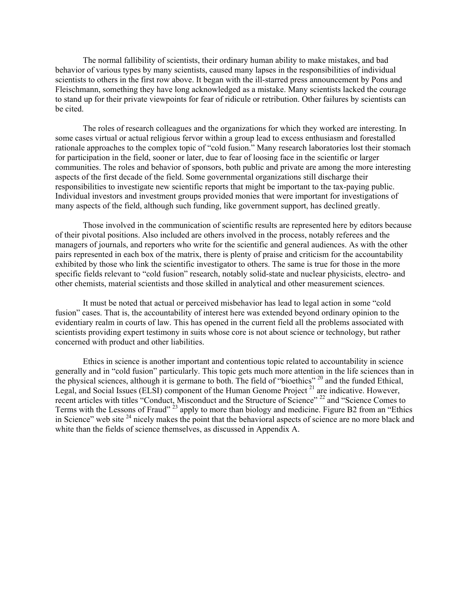The normal fallibility of scientists, their ordinary human ability to make mistakes, and bad behavior of various types by many scientists, caused many lapses in the responsibilities of individual scientists to others in the first row above. It began with the ill-starred press announcement by Pons and Fleischmann, something they have long acknowledged as a mistake. Many scientists lacked the courage to stand up for their private viewpoints for fear of ridicule or retribution. Other failures by scientists can be cited.

The roles of research colleagues and the organizations for which they worked are interesting. In some cases virtual or actual religious fervor within a group lead to excess enthusiasm and forestalled rationale approaches to the complex topic of "cold fusion." Many research laboratories lost their stomach for participation in the field, sooner or later, due to fear of loosing face in the scientific or larger communities. The roles and behavior of sponsors, both public and private are among the more interesting aspects of the first decade of the field. Some governmental organizations still discharge their responsibilities to investigate new scientific reports that might be important to the tax-paying public. Individual investors and investment groups provided monies that were important for investigations of many aspects of the field, although such funding, like government support, has declined greatly.

Those involved in the communication of scientific results are represented here by editors because of their pivotal positions. Also included are others involved in the process, notably referees and the managers of journals, and reporters who write for the scientific and general audiences. As with the other pairs represented in each box of the matrix, there is plenty of praise and criticism for the accountability exhibited by those who link the scientific investigator to others. The same is true for those in the more specific fields relevant to "cold fusion" research, notably solid-state and nuclear physicists, electro- and other chemists, material scientists and those skilled in analytical and other measurement sciences.

It must be noted that actual or perceived misbehavior has lead to legal action in some "cold" fusion" cases. That is, the accountability of interest here was extended beyond ordinary opinion to the evidentiary realm in courts of law. This has opened in the current field all the problems associated with scientists providing expert testimony in suits whose core is not about science or technology, but rather concerned with product and other liabilities.

Ethics in science is another important and contentious topic related to accountability in science generally and in "cold fusion" particularly. This topic gets much more attention in the life sciences than in the physical sciences, although it is germane to both. The field of "bioethics"<sup>20</sup> and the funded Ethical, Legal, and Social Issues (ELSI) component of the Human Genome Project<sup>21</sup> are indicative. However, recent articles with titles "Conduct, Misconduct and the Structure of Science"<sup>22</sup> and "Science Comes to Terms with the Lessons of Fraud<sup> $23$ </sup> apply to more than biology and medicine. Figure B2 from an "Ethics" in Science" web site  $24$  nicely makes the point that the behavioral aspects of science are no more black and white than the fields of science themselves, as discussed in Appendix A.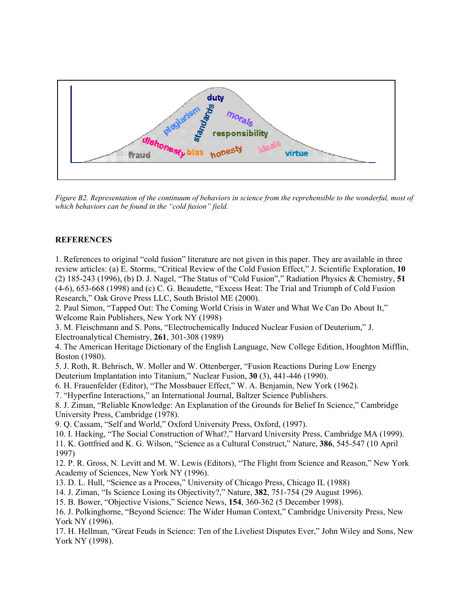

*Figure B2. Representation of the continuum of behaviors in science from the reprehensible to the wonderful, most of which behaviors can be found in the "cold fusion" field.* 

# **REFERENCES**

1. References to original "cold fusion" literature are not given in this paper. They are available in three review articles: (a) E. Storms, "Critical Review of the Cold Fusion Effect," J. Scientific Exploration, 10 (2) 185-243 (1996), (b) D. J. Nagel, "The Status of "Cold Fusion"," Radiation Physics & Chemistry, 51  $(4-6)$ , 653-668 (1998) and (c) C. G. Beaudette, "Excess Heat: The Trial and Triumph of Cold Fusion Research," Oak Grove Press LLC, South Bristol ME (2000).

2. Paul Simon, "Tapped Out: The Coming World Crisis in Water and What We Can Do About It," Welcome Rain Publishers, New York NY (1998)

3. M. Fleischmann and S. Pons, "Electrochemically Induced Nuclear Fusion of Deuterium," J. Electroanalytical Chemistry, **261**, 301-308 (1989)

4. The American Heritage Dictionary of the English Language, New College Edition, Houghton Mifflin, Boston (1980).

5. J. Roth, R. Behrisch, W. Moller and W. Ottenberger, "Fusion Reactions During Low Energy Deuterium Implantation into Titanium," Nuclear Fusion, 30 (3), 441-446 (1990).

6. H. Frauenfelder (Editor), "The Mossbauer Effect," W. A. Benjamin, New York (1962).

7. "Hyperfine Interactions," an International Journal, Baltzer Science Publishers.

8. J. Ziman, "Reliable Knowledge: An Explanation of the Grounds for Belief In Science," Cambridge University Press, Cambridge (1978).

9. Q. Cassam, "Self and World," Oxford University Press, Oxford, (1997).

- 10. I. Hacking, "The Social Construction of What?," Harvard University Press, Cambridge MA (1999).
- 11. K. Gottfried and K. G. Wilson, "Science as a Cultural Construct," Nature, 386, 545-547 (10 April 1997)

12. P. R. Gross, N. Levitt and M. W. Lewis (Editors), "The Flight from Science and Reason," New York Academy of Sciences, New York NY (1996).

13. D. L. Hull, "Science as a Process," University of Chicago Press, Chicago IL (1988)

14. J. Ziman, "Is Science Losing its Objectivity?," Nature, **382**, 751-754 (29 August 1996).

15. B. Bower, "Objective Visions," Science News, 154, 360-362 (5 December 1998).

16. J. Polkinghorne, "Beyond Science: The Wider Human Context," Cambridge University Press, New York NY (1996).

17. H. Hellman, "Great Feuds in Science: Ten of the Liveliest Disputes Ever," John Wiley and Sons, New York NY (1998).